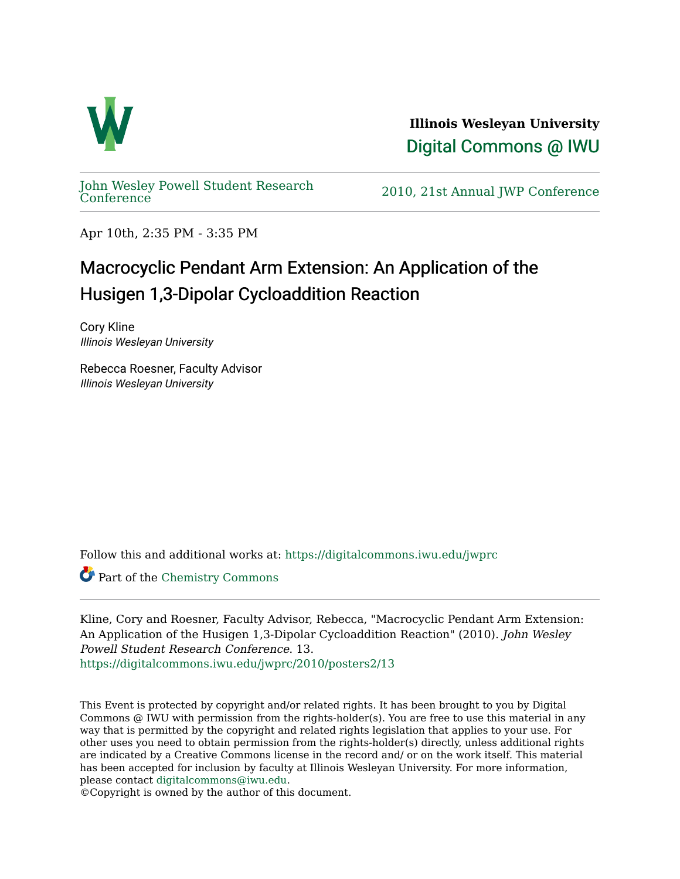

**Illinois Wesleyan University**  [Digital Commons @ IWU](https://digitalcommons.iwu.edu/) 

[John Wesley Powell Student Research](https://digitalcommons.iwu.edu/jwprc) 

2010, 21st Annual JWP [Conference](https://digitalcommons.iwu.edu/jwprc)

Apr 10th, 2:35 PM - 3:35 PM

## Macrocyclic Pendant Arm Extension: An Application of the Husigen 1,3-Dipolar Cycloaddition Reaction

Cory Kline Illinois Wesleyan University

Rebecca Roesner, Faculty Advisor Illinois Wesleyan University

Follow this and additional works at: [https://digitalcommons.iwu.edu/jwprc](https://digitalcommons.iwu.edu/jwprc?utm_source=digitalcommons.iwu.edu%2Fjwprc%2F2010%2Fposters2%2F13&utm_medium=PDF&utm_campaign=PDFCoverPages) 

Part of the [Chemistry Commons](http://network.bepress.com/hgg/discipline/131?utm_source=digitalcommons.iwu.edu%2Fjwprc%2F2010%2Fposters2%2F13&utm_medium=PDF&utm_campaign=PDFCoverPages) 

Kline, Cory and Roesner, Faculty Advisor, Rebecca, "Macrocyclic Pendant Arm Extension: An Application of the Husigen 1,3-Dipolar Cycloaddition Reaction" (2010). John Wesley Powell Student Research Conference. 13. [https://digitalcommons.iwu.edu/jwprc/2010/posters2/13](https://digitalcommons.iwu.edu/jwprc/2010/posters2/13?utm_source=digitalcommons.iwu.edu%2Fjwprc%2F2010%2Fposters2%2F13&utm_medium=PDF&utm_campaign=PDFCoverPages) 

This Event is protected by copyright and/or related rights. It has been brought to you by Digital Commons @ IWU with permission from the rights-holder(s). You are free to use this material in any way that is permitted by the copyright and related rights legislation that applies to your use. For other uses you need to obtain permission from the rights-holder(s) directly, unless additional rights are indicated by a Creative Commons license in the record and/ or on the work itself. This material has been accepted for inclusion by faculty at Illinois Wesleyan University. For more information, please contact [digitalcommons@iwu.edu.](mailto:digitalcommons@iwu.edu)

©Copyright is owned by the author of this document.